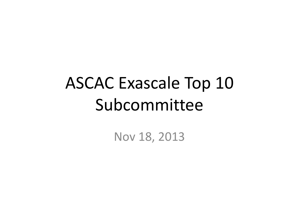# ASCAC Exascale Top 10 Subcommittee

Nov 18, 2013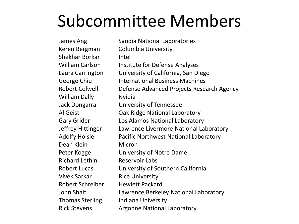#### Subcommittee Members

Shekhar Borkar Intel William Dally **Nitlian** Dean Klein Micron Richard Lethin Reservoir Labs Vivek Sarkar Rice University Robert Schreiber Hewlett Packard Thomas Sterling Indiana University

James Ang Sandia National Laboratories Keren Bergman Columbia University William Carlson Institute for Defense Analyses Laura Carrington University of California, San Diego George Chiu **International Business Machines** Robert Colwell Defense Advanced Projects Research Agency Jack Dongarra University of Tennessee Al Geist **Oak Ridge National Laboratory** Gary Grider Los Alamos National Laboratory Jeffrey Hittinger Lawrence Livermore National Laboratory Adolfy Hoisie Pacific Northwest National Laboratory Peter Kogge University of Notre Dame Robert Lucas University of Southern California John Shalf Lawrence Berkeley National Laboratory Rick Stevens **Argonne National Laboratory**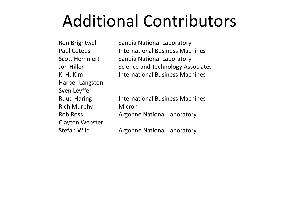### Additional Contributors

Harper Langston Sven Leyffer Rich Murphy Micron Clayton Webster

Ron Brightwell Sandia National Laboratory Paul Coteus International Business Machines Scott Hemmert Sandia National Laboratory Jon Hiller Science and Technology Associates K. H. Kim **International Business Machines** 

Ruud Haring **International Business Machines** Rob Ross **Argonne National Laboratory** 

Stefan Wild **Argonne National Laboratory**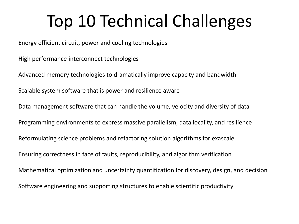### Top 10 Technical Challenges

Energy efficient circuit, power and cooling technologies

High performance interconnect technologies

Advanced memory technologies to dramatically improve capacity and bandwidth Scalable system software that is power and resilience aware Data management software that can handle the volume, velocity and diversity of data Programming environments to express massive parallelism, data locality, and resilience Reformulating science problems and refactoring solution algorithms for exascale Ensuring correctness in face of faults, reproducibility, and algorithm verification Mathematical optimization and uncertainty quantification for discovery, design, and decision Software engineering and supporting structures to enable scientific productivity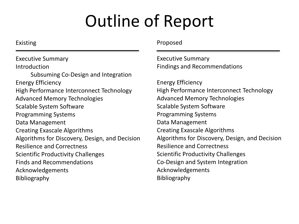## Outline of Report

#### Existing

Executive Summary **Introduction** Subsuming Co-Design and Integration Energy Efficiency High Performance Interconnect Technology Advanced Memory Technologies Scalable System Software Programming Systems Data Management Creating Exascale Algorithms Algorithms for Discovery, Design, and Decision Resilience and Correctness Scientific Productivity Challenges Finds and Recommendations Acknowledgements Bibliography

#### Proposed

Executive Summary Findings and Recommendations

Energy Efficiency High Performance Interconnect Technology Advanced Memory Technologies Scalable System Software Programming Systems Data Management Creating Exascale Algorithms Algorithms for Discovery, Design, and Decision Resilience and Correctness Scientific Productivity Challenges Co-Design and System Integration Acknowledgements Bibliography